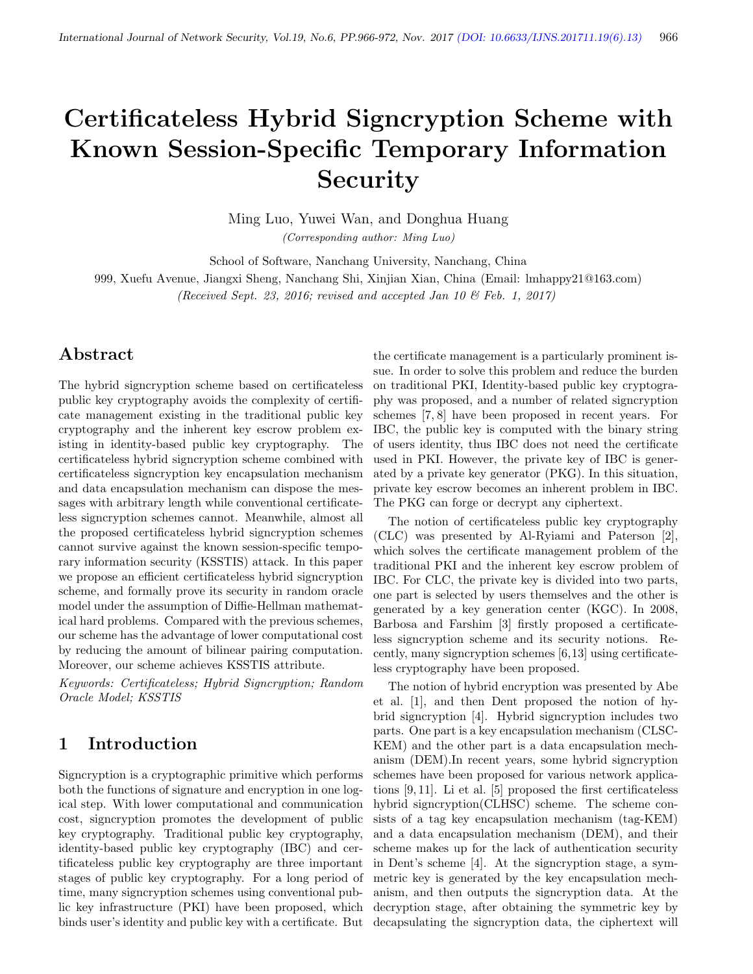# Certificateless Hybrid Signcryption Scheme with Known Session-Specific Temporary Information Security

Ming Luo, Yuwei Wan, and Donghua Huang (Corresponding author: Ming Luo)

School of Software, Nanchang University, Nanchang, China

999, Xuefu Avenue, Jiangxi Sheng, Nanchang Shi, Xinjian Xian, China (Email: lmhappy21@163.com) (Received Sept. 23, 2016; revised and accepted Jan 10  $\mathcal{B}$  Feb. 1, 2017)

## Abstract

The hybrid signcryption scheme based on certificateless public key cryptography avoids the complexity of certificate management existing in the traditional public key cryptography and the inherent key escrow problem existing in identity-based public key cryptography. The certificateless hybrid signcryption scheme combined with certificateless signcryption key encapsulation mechanism and data encapsulation mechanism can dispose the messages with arbitrary length while conventional certificateless signcryption schemes cannot. Meanwhile, almost all the proposed certificateless hybrid signcryption schemes cannot survive against the known session-specific temporary information security (KSSTIS) attack. In this paper we propose an efficient certificateless hybrid signcryption scheme, and formally prove its security in random oracle model under the assumption of Diffie-Hellman mathematical hard problems. Compared with the previous schemes, our scheme has the advantage of lower computational cost by reducing the amount of bilinear pairing computation. Moreover, our scheme achieves KSSTIS attribute.

Keywords: Certificateless; Hybrid Signcryption; Random Oracle Model; KSSTIS

## 1 Introduction

Signcryption is a cryptographic primitive which performs both the functions of signature and encryption in one logical step. With lower computational and communication cost, signcryption promotes the development of public key cryptography. Traditional public key cryptography, identity-based public key cryptography (IBC) and certificateless public key cryptography are three important stages of public key cryptography. For a long period of time, many signcryption schemes using conventional public key infrastructure (PKI) have been proposed, which binds user's identity and public key with a certificate. But

the certificate management is a particularly prominent issue. In order to solve this problem and reduce the burden on traditional PKI, Identity-based public key cryptography was proposed, and a number of related signcryption schemes [7, 8] have been proposed in recent years. For IBC, the public key is computed with the binary string of users identity, thus IBC does not need the certificate used in PKI. However, the private key of IBC is generated by a private key generator (PKG). In this situation, private key escrow becomes an inherent problem in IBC. The PKG can forge or decrypt any ciphertext.

The notion of certificateless public key cryptography (CLC) was presented by Al-Ryiami and Paterson [2], which solves the certificate management problem of the traditional PKI and the inherent key escrow problem of IBC. For CLC, the private key is divided into two parts, one part is selected by users themselves and the other is generated by a key generation center (KGC). In 2008, Barbosa and Farshim [3] firstly proposed a certificateless signcryption scheme and its security notions. Recently, many signcryption schemes [6,13] using certificateless cryptography have been proposed.

The notion of hybrid encryption was presented by Abe et al. [1], and then Dent proposed the notion of hybrid signcryption [4]. Hybrid signcryption includes two parts. One part is a key encapsulation mechanism (CLSC-KEM) and the other part is a data encapsulation mechanism (DEM).In recent years, some hybrid signcryption schemes have been proposed for various network applications [9, 11]. Li et al. [5] proposed the first certificateless hybrid signcryption(CLHSC) scheme. The scheme consists of a tag key encapsulation mechanism (tag-KEM) and a data encapsulation mechanism (DEM), and their scheme makes up for the lack of authentication security in Dent's scheme [4]. At the signcryption stage, a symmetric key is generated by the key encapsulation mechanism, and then outputs the signcryption data. At the decryption stage, after obtaining the symmetric key by decapsulating the signcryption data, the ciphertext will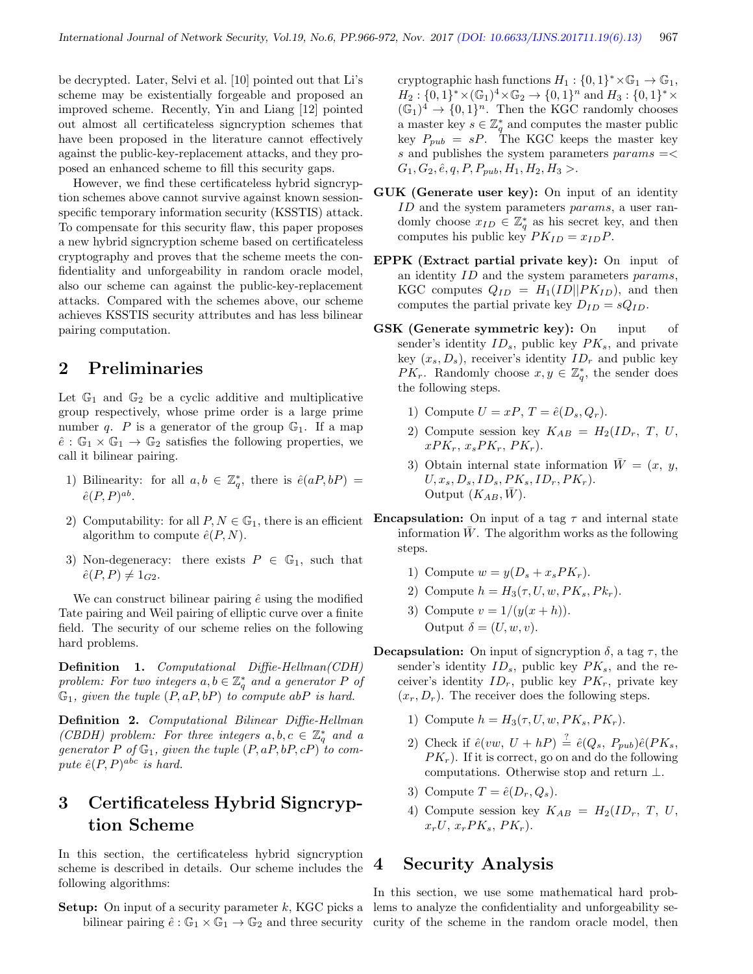be decrypted. Later, Selvi et al. [10] pointed out that Li's scheme may be existentially forgeable and proposed an improved scheme. Recently, Yin and Liang [12] pointed out almost all certificateless signcryption schemes that have been proposed in the literature cannot effectively against the public-key-replacement attacks, and they proposed an enhanced scheme to fill this security gaps.

However, we find these certificateless hybrid signcryption schemes above cannot survive against known sessionspecific temporary information security (KSSTIS) attack. To compensate for this security flaw, this paper proposes a new hybrid signcryption scheme based on certificateless cryptography and proves that the scheme meets the confidentiality and unforgeability in random oracle model, also our scheme can against the public-key-replacement attacks. Compared with the schemes above, our scheme achieves KSSTIS security attributes and has less bilinear pairing computation.

## 2 Preliminaries

Let  $\mathbb{G}_1$  and  $\mathbb{G}_2$  be a cyclic additive and multiplicative group respectively, whose prime order is a large prime number q. P is a generator of the group  $\mathbb{G}_1$ . If a map  $\hat{e} : \mathbb{G}_1 \times \mathbb{G}_1 \to \mathbb{G}_2$  satisfies the following properties, we call it bilinear pairing.

- 1) Bilinearity: for all  $a, b \in \mathbb{Z}_q^*$ , there is  $\hat{e}(aP, bP) =$  $\hat{e}(P,P)^{ab}.$
- 2) Computability: for all  $P, N \in \mathbb{G}_1$ , there is an efficient algorithm to compute  $\hat{e}(P, N)$ .
- 3) Non-degeneracy: there exists  $P \in \mathbb{G}_1$ , such that  $\hat{e}(P, P) \neq 1_{C2}$ .

We can construct bilinear pairing  $\hat{e}$  using the modified Tate pairing and Weil pairing of elliptic curve over a finite field. The security of our scheme relies on the following hard problems.

Definition 1. Computational Diffie-Hellman(CDH) problem: For two integers  $a, b \in \mathbb{Z}_q^*$  and a generator P of  $\mathbb{G}_1$ , given the tuple  $(P, aP, bP)$  to compute abP is hard.

Definition 2. Computational Bilinear Diffie-Hellman (CBDH) problem: For three integers  $a, b, c \in \mathbb{Z}_q^*$  and a generator P of  $\mathbb{G}_1$ , given the tuple  $(P, aP, bP, cP)$  to compute  $\hat{e}(P, P)^{abc}$  is hard.

# 3 Certificateless Hybrid Signcryption Scheme

In this section, the certificateless hybrid signcryption scheme is described in details. Our scheme includes the following algorithms:

**Setup:** On input of a security parameter  $k$ , KGC picks a lems to analyze the confidentiality and unforgeability se-

cryptographic hash functions  $H_1: \{0,1\}^* \times \mathbb{G}_1 \to \mathbb{G}_1$ ,  $H_2: \{0,1\}^* \times (\mathbb{G}_1)^4 \times \mathbb{G}_2 \to \{0,1\}^n$  and  $H_3: \{0,1\}^* \times$  $(\mathbb{G}_1)^4 \to \{0,1\}^n$ . Then the KGC randomly chooses a master key  $s \in \mathbb{Z}_q^*$  and computes the master public key  $P_{pub} = sP$ . The KGC keeps the master key s and publishes the system parameters  $params = \lt$  $G_1, G_2, \hat{e}, q, P, P_{pub}, H_1, H_2, H_3 >.$ 

- GUK (Generate user key): On input of an identity ID and the system parameters params, a user randomly choose  $x_{ID} \in \mathbb{Z}_q^*$  as his secret key, and then computes his public key  $PK_{ID} = x_{ID}P$ .
- EPPK (Extract partial private key): On input of an identity ID and the system parameters params, KGC computes  $Q_{ID} = H_1(ID||PK_{ID})$ , and then computes the partial private key  $D_{ID} = sQ_{ID}$ .
- GSK (Generate symmetric key): On input of sender's identity  $ID_s$ , public key  $PK_s$ , and private key  $(x_s, D_s)$ , receiver's identity  $ID<sub>r</sub>$  and public key  $PK_r$ . Randomly choose  $x, y \in \mathbb{Z}_q^*$ , the sender does the following steps.
	- 1) Compute  $U = xP$ ,  $T = \hat{e}(D_s, Q_r)$ .
	- 2) Compute session key  $K_{AB} = H_2(ID_r, T, U,$  $xPK_r, x_sPK_r, PK_r$ ).
	- 3) Obtain internal state information  $\bar{W} = (x, y,$  $U, x_s, D_s, ID_s, PK_s, ID_r, PK_r).$ Output  $(K_{AB}, \bar{W})$ .
- **Encapsulation:** On input of a tag  $\tau$  and internal state information  $\bar{W}$ . The algorithm works as the following steps.
	- 1) Compute  $w = y(D_s + x_s P K_r)$ .
	- 2) Compute  $h = H_3(\tau, U, w, PK_s, PK_r)$ .
	- 3) Compute  $v = 1/(y(x+h)).$ Output  $\delta = (U, w, v)$ .
- **Decapsulation:** On input of signcryption  $\delta$ , a tag  $\tau$ , the sender's identity  $ID_s$ , public key  $PK_s$ , and the receiver's identity  $ID_r$ , public key  $PK_r$ , private key  $(x_r, D_r)$ . The receiver does the following steps.
	- 1) Compute  $h = H_3(\tau, U, w, PK_s, PK_r)$ .
	- 2) Check if  $\hat{e}(vw, U + hP) \stackrel{?}{=} \hat{e}(Q_s, P_{pub})\hat{e}(PK_s,$  $PK<sub>r</sub>$ ). If it is correct, go on and do the following computations. Otherwise stop and return ⊥.
	- 3) Compute  $T = \hat{e}(D_r, Q_s)$ .
	- 4) Compute session key  $K_{AB} = H_2(ID_r, T, U,$  $x_rU, x_rPK_s, PK_r).$

## 4 Security Analysis

bilinear pairing  $\hat{e}: \mathbb{G}_1 \times \mathbb{G}_1 \to \mathbb{G}_2$  and three security curity of the scheme in the random oracle model, then In this section, we use some mathematical hard prob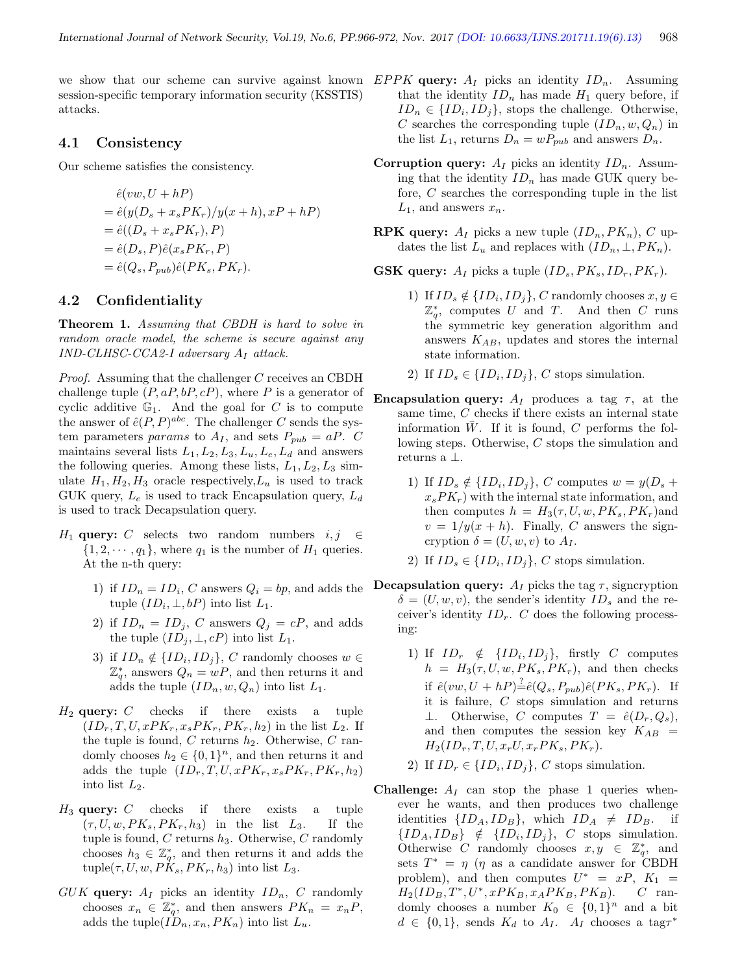session-specific temporary information security (KSSTIS) attacks.

#### 4.1 Consistency

Our scheme satisfies the consistency.

$$
\begin{aligned}\n\hat{e}(vw, U + hP) \\
&= \hat{e}(y(D_s + x_s PK_r)/y(x + h), xP + hP) \\
&= \hat{e}((D_s + x_s PK_r), P) \\
&= \hat{e}(D_s, P)\hat{e}(x_s PK_r, P) \\
&= \hat{e}(Q_s, P_{pub})\hat{e}(PK_s, PK_r).\n\end{aligned}
$$

#### 4.2 Confidentiality

Theorem 1. Assuming that CBDH is hard to solve in random oracle model, the scheme is secure against any  $IND-CLHSC-CCA2-I$  adversary  $A_I$  attack.

Proof. Assuming that the challenger C receives an CBDH challenge tuple  $(P, aP, bP, cP)$ , where P is a generator of cyclic additive  $\mathbb{G}_1$ . And the goal for C is to compute the answer of  $\hat{e}(P, P)^{abc}$ . The challenger C sends the system parameters params to  $A_I$ , and sets  $P_{pub} = aP$ . C maintains several lists  $L_1, L_2, L_3, L_u, L_e, L_d$  and answers the following queries. Among these lists,  $L_1, L_2, L_3$  simulate  $H_1, H_2, H_3$  oracle respectively,  $L_u$  is used to track GUK query,  $L_e$  is used to track Encapsulation query,  $L_d$ is used to track Decapsulation query.

- $H_1$  query: C selects two random numbers  $i, j \in$  $\{1, 2, \dots, q_1\}$ , where  $q_1$  is the number of  $H_1$  queries. At the n-th query:
	- 1) if  $ID_n = ID_i$ , C answers  $Q_i = bp$ , and adds the tuple  $(ID_i, \perp, bP)$  into list  $L_1$ .
	- 2) if  $ID_n = ID_j$ , C answers  $Q_j = cP$ , and adds the tuple  $(ID_j, \perp, cP)$  into list  $L_1$ .
	- 3) if  $ID_n \notin \{ID_i, ID_j\}$ , C randomly chooses  $w \in$  $\mathbb{Z}_q^*$ , answers  $Q_n = wP$ , and then returns it and adds the tuple  $(ID_n, w, Q_n)$  into list  $L_1$ .
- $H_2$  query: C checks if there exists a tuple  $(ID_r, T, U, xPK_r, x_sPK_r, PK_r, h_2)$  in the list  $L_2$ . If the tuple is found,  $C$  returns  $h_2$ . Otherwise,  $C$  randomly chooses  $h_2 \in \{0,1\}^n$ , and then returns it and adds the tuple  $(ID_r, T, U, xPK_r, x_sPK_r, PK_r, h_2)$ into list  $L_2$ .
- $H_3$  query:  $C$  checks if there exists a tuple  $(\tau, U, w, PK_s, PK_r, h_3)$  in the list  $L_3$ . If the tuple is found,  $C$  returns  $h_3$ . Otherwise,  $C$  randomly chooses  $h_3 \in \mathbb{Z}_q^*$ , and then returns it and adds the tuple( $\tau, U, w, P\hat{K}_s, PK_r, h_3$ ) into list  $L_3$ .
- $GUK$  query:  $A_I$  picks an identity  $ID_n$ , C randomly chooses  $x_n \in \mathbb{Z}_q^*$ , and then answers  $PK_n = x_nP$ , adds the tuple( $ID_n$ ,  $x_n$ ,  $PK_n$ ) into list  $L_u$ .
- we show that our scheme can survive against known  $EPPK$  query:  $A_I$  picks an identity  $ID_n$ . Assuming that the identity  $ID_n$  has made  $H_1$  query before, if  $ID_n \in \{ID_i, ID_j\}$ , stops the challenge. Otherwise, C searches the corresponding tuple  $(ID_n, w, Q_n)$  in the list  $L_1$ , returns  $D_n = wP_{pub}$  and answers  $D_n$ .
	- **Corruption query:**  $A_I$  picks an identity  $ID_n$ . Assuming that the identity  $ID_n$  has made GUK query before, C searches the corresponding tuple in the list  $L_1$ , and answers  $x_n$ .
	- **RPK query:**  $A_I$  picks a new tuple  $(ID_n, PK_n), C$  updates the list  $L_u$  and replaces with  $(ID_n, \perp, PK_n)$ .

**GSK query:**  $A_I$  picks a tuple  $(ID_s, PK_s, ID_r, PK_r)$ .

- 1) If  $ID_s \notin \{ID_i, ID_j\}$ , C randomly chooses  $x, y \in$  $\mathbb{Z}_{q}^{*}$ , computes U and T. And then C runs the symmetric key generation algorithm and answers  $K_{AB}$ , updates and stores the internal state information.
- 2) If  $ID_s \in \{ID_i, ID_j\}$ , C stops simulation.
- **Encapsulation query:**  $A_I$  produces a tag  $\tau$ , at the same time, C checks if there exists an internal state information  $W$ . If it is found,  $C$  performs the following steps. Otherwise, C stops the simulation and returns a ⊥.
	- 1) If  $ID_s \notin \{ID_i, ID_j\}$ , C computes  $w = y(D_s +$  $x_s P K_r$ ) with the internal state information, and then computes  $h = H_3(\tau, U, w, PK_s, PK_r)$  and  $v = 1/y(x + h)$ . Finally, C answers the signcryption  $\delta = (U, w, v)$  to  $A_I$ .
	- 2) If  $ID_s \in \{ID_i, ID_j\}$ , C stops simulation.
- **Decapsulation query:**  $A_I$  picks the tag  $\tau$ , signcryption  $\delta = (U, w, v)$ , the sender's identity  $ID_s$  and the receiver's identity  $ID_r$ . C does the following processing:
	- 1) If  $ID_r \notin \{ID_i, ID_j\}$ , firstly C computes  $h = H_3(\tau, U, w, PK_s, PK_r)$ , and then checks if  $\hat{e}(vw, U + hP) \stackrel{?}{=} \hat{e}(Q_s, P_{pub})\hat{e}(PK_s, PK_r)$ . If it is failure, C stops simulation and returns  $\perp$ . Otherwise, C computes  $T = \hat{e}(D_r, Q_s)$ , and then computes the session key  $K_{AB}$  =  $H_2(ID_r, T, U, x_rU, x_rPK_s, PK_r).$
	- 2) If  $ID_r \in \{ID_i, ID_j\}$ , C stops simulation.
- Challenge:  $A_I$  can stop the phase 1 queries whenever he wants, and then produces two challenge identities  $\{ID_A, ID_B\}$ , which  $ID_A \neq ID_B$ . if  $\{ID_A, ID_B\} \notin \{ID_i, ID_j\}, C$  stops simulation. Otherwise C randomly chooses  $x, y \in \mathbb{Z}_q^*$ , and sets  $T^* = \eta$  ( $\eta$  as a candidate answer for CBDH problem), and then computes  $U^* = xP, K_1 =$  $H_2(ID_B, T^*, U^*, xPK_B, x_APK_B, PK_B).$  C randomly chooses a number  $K_0 \in \{0,1\}^n$  and a bit  $d \in \{0, 1\}$ , sends  $K_d$  to  $A_I$ .  $A_I$  chooses a tag $\tau^*$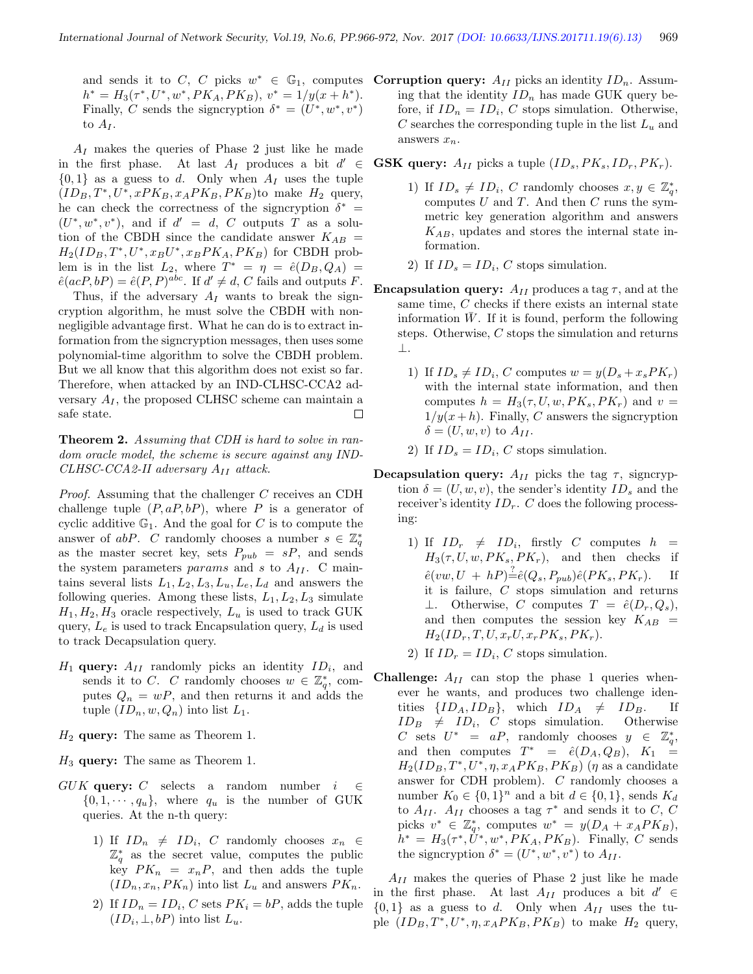and sends it to C, C picks  $w^* \in \mathbb{G}_1$ , computes **Corruption query:**  $A_{II}$  picks an identity  $ID_n$ . Assum $h^* = H_3(\tau^*, U^*, w^*, PK_A, PK_B), v^* = 1/y(x + h^*).$ Finally, C sends the signcryption  $\delta^* = (U^*, w^*, v^*)$ to  $A_I$ .

 $A_I$  makes the queries of Phase 2 just like he made in the first phase. At last  $A_I$  produces a bit  $d' \in$  $\{0,1\}$  as a guess to d. Only when  $A_I$  uses the tuple  $(ID_B, T^*, U^*, xPK_B, x_APK_B, PK_B)$ to make  $H_2$  query, he can check the correctness of the signcryption  $\delta^*$  =  $(U^*, w^*, v^*)$ , and if  $d' = d$ , C outputs T as a solution of the CBDH since the candidate answer  $K_{AB}$  =  $H_2(ID_B, T^*, U^*, x_B U^*, x_B P K_A, P K_B)$  for CBDH problem is in the list  $L_2$ , where  $T^* = \eta = \hat{e}(D_B, Q_A) =$  $\hat{e}(acP, bP) = \hat{e}(P, P)^{abc}$ . If  $d' \neq d$ , C fails and outputs F.

Thus, if the adversary  $A_I$  wants to break the signcryption algorithm, he must solve the CBDH with nonnegligible advantage first. What he can do is to extract information from the signcryption messages, then uses some polynomial-time algorithm to solve the CBDH problem. But we all know that this algorithm does not exist so far. Therefore, when attacked by an IND-CLHSC-CCA2 adversary  $A_I$ , the proposed CLHSC scheme can maintain a safe state.  $\Box$ 

Theorem 2. Assuming that CDH is hard to solve in random oracle model, the scheme is secure against any IND-CLHSC-CCA2-II adversary  $A_{II}$  attack.

Proof. Assuming that the challenger C receives an CDH challenge tuple  $(P, aP, bP)$ , where P is a generator of cyclic additive  $\mathbb{G}_1$ . And the goal for C is to compute the answer of abP. C randomly chooses a number  $s \in \mathbb{Z}_q^*$ as the master secret key, sets  $P_{pub} = sP$ , and sends the system parameters *params* and s to  $A_{II}$ . C maintains several lists  $L_1, L_2, L_3, L_u, L_e, L_d$  and answers the following queries. Among these lists,  $L_1, L_2, L_3$  simulate  $H_1, H_2, H_3$  oracle respectively,  $L_u$  is used to track GUK query,  $L_e$  is used to track Encapsulation query,  $L_d$  is used to track Decapsulation query.

- $H_1$  query:  $A_{II}$  randomly picks an identity  $ID_i$ , and sends it to C. C randomly chooses  $w \in \mathbb{Z}_q^*$ , computes  $Q_n = wP$ , and then returns it and adds the tuple  $(ID_n, w, Q_n)$  into list  $L_1$ .
- $H_2$  query: The same as Theorem 1.
- $H_3$  query: The same as Theorem 1.
- GUK query: C selects a random number  $i \in \mathcal{C}$  $\{0, 1, \dots, q_u\}$ , where  $q_u$  is the number of GUK queries. At the n-th query:
	- 1) If  $ID_n \neq ID_i$ , C randomly chooses  $x_n \in$  $\mathbb{Z}_q^*$  as the secret value, computes the public key  $PK_n = x_nP$ , and then adds the tuple  $(ID_n, x_n, PK_n)$  into list  $L_u$  and answers  $PK_n$ .
	- 2) If  $ID_n = ID_i$ , C sets  $PK_i = bP$ , adds the tuple  $(ID_i, \perp, bP)$  into list  $L_u$ .

ing that the identity  $ID_n$  has made GUK query before, if  $ID_n = ID_i$ , C stops simulation. Otherwise, C searches the corresponding tuple in the list  $L_u$  and answers  $x_n$ .

**GSK query:**  $A_{II}$  picks a tuple  $(ID_s, PK_s, ID_r, PK_r)$ .

- 1) If  $ID_s \neq ID_i$ , C randomly chooses  $x, y \in \mathbb{Z}_q^*$ , computes  $U$  and  $T$ . And then  $C$  runs the symmetric key generation algorithm and answers  $K_{AB}$ , updates and stores the internal state information.
- 2) If  $ID_s = ID_i$ , C stops simulation.
- **Encapsulation query:**  $A_{II}$  produces a tag  $\tau$ , and at the same time, C checks if there exists an internal state information  $\overline{W}$ . If it is found, perform the following steps. Otherwise, C stops the simulation and returns ⊥.
	- 1) If  $ID_s \neq ID_i$ , C computes  $w = y(D_s + x_sPK_r)$ with the internal state information, and then computes  $h = H_3(\tau, U, w, PK_s, PK_r)$  and  $v =$  $1/y(x+h)$ . Finally, C answers the signcryption  $\delta = (U, w, v)$  to  $A_{II}$ .
	- 2) If  $ID_s = ID_i$ , C stops simulation.
- Decapsulation query:  $A_{II}$  picks the tag  $\tau$ , signcryption  $\delta = (U, w, v)$ , the sender's identity  $ID_s$  and the receiver's identity  $ID<sub>r</sub>$ . C does the following processing:
	- 1) If  $ID_r \neq ID_i$ , firstly C computes  $h =$  $H_3(\tau, U, w, PK_s, PK_r)$ , and then checks if  $\hat{e}(vw, U + hP) \stackrel{?}{=} \hat{e}(Q_s, P_{pub})\hat{e}(PK_s, PK_r).$  If it is failure, C stops simulation and returns ⊥. Otherwise, C computes  $T = \hat{e}(D_r, Q_s)$ , and then computes the session key  $K_{AB}$  =  $H_2(ID_r, T, U, x_rU, x_rPK_s, PK_r).$
	- 2) If  $ID_r = ID_i$ , C stops simulation.
- **Challenge:**  $A_{II}$  can stop the phase 1 queries whenever he wants, and produces two challenge identities  $\{ID_A, ID_B\}$ , which  $ID_A \neq ID_B$ . If  $ID_B \neq ID_i$ , C stops simulation. Otherwise C sets  $U^* = aP$ , randomly chooses  $y \in \mathbb{Z}_q^*$ , and then computes  $T^* = \hat{e}(D_A, Q_B), K_1 =$  $H_2(ID_B, T^*, U^*, \eta, x_A PK_B, PK_B)$  ( $\eta$  as a candidate answer for CDH problem). C randomly chooses a number  $K_0 \in \{0,1\}^n$  and a bit  $d \in \{0,1\}$ , sends  $K_d$ to  $A_{II}$ .  $A_{II}$  chooses a tag  $\tau^*$  and sends it to C, C picks  $v^* \in \mathbb{Z}_q^*$ , computes  $w^* = y(D_A + x_A P K_B)$ ,  $h^* = H_3(\tau^*, \dot{U}^*, w^*, PK_A, PK_B)$ . Finally, C sends the signcryption  $\delta^* = (U^*, w^*, v^*)$  to  $A_{II}$ .

 $A_{II}$  makes the queries of Phase 2 just like he made in the first phase. At last  $A_{II}$  produces a bit  $d' \in$  $\{0,1\}$  as a guess to d. Only when  $A_{II}$  uses the tuple  $(ID_B, T^*, U^*, \eta, x_A PK_B, PK_B)$  to make  $H_2$  query,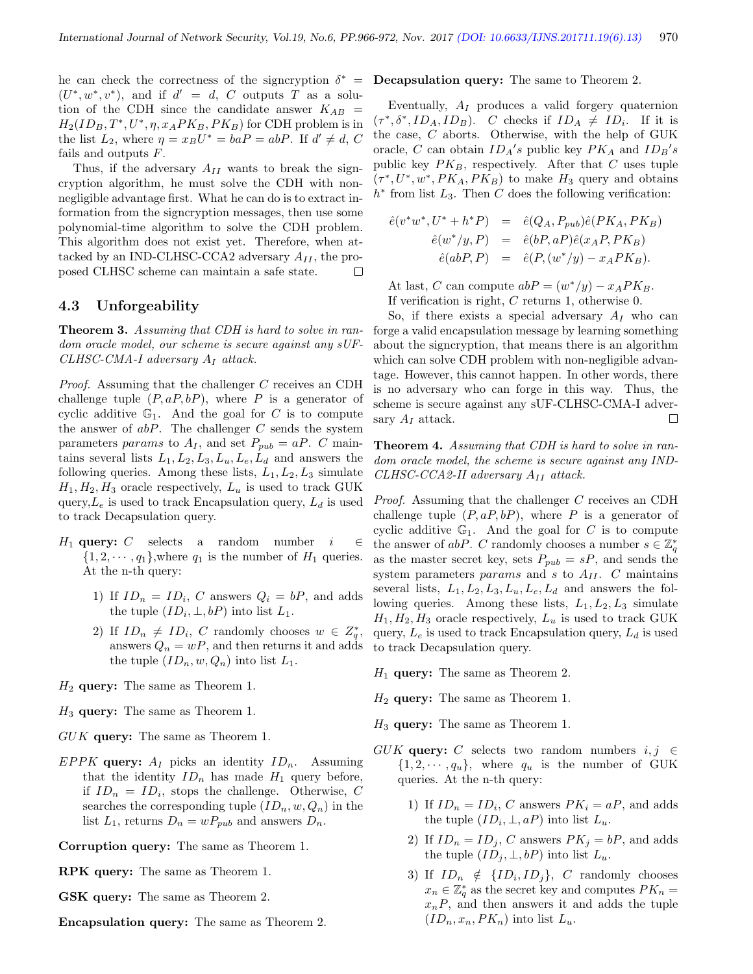he can check the correctness of the signcryption  $\delta^*$  =  $(U^*, w^*, v^*)$ , and if  $d' = d$ , C outputs T as a solution of the CDH since the candidate answer  $K_{AB}$  =  $H_2(ID_B, T^*, U^*, \eta, x_A PK_B, PK_B)$  for CDH problem is in the list  $L_2$ , where  $\eta = x_B U^* = baP = abP$ . If  $d' \neq d$ , C fails and outputs F.

Thus, if the adversary  $A_{II}$  wants to break the signcryption algorithm, he must solve the CDH with nonnegligible advantage first. What he can do is to extract information from the signcryption messages, then use some polynomial-time algorithm to solve the CDH problem. This algorithm does not exist yet. Therefore, when attacked by an IND-CLHSC-CCA2 adversary  $A_{II}$ , the proposed CLHSC scheme can maintain a safe state.  $\Box$ 

#### 4.3 Unforgeability

Theorem 3. Assuming that CDH is hard to solve in random oracle model, our scheme is secure against any sUF- $CLHSC-CMA-I$  adversary  $A_I$  attack.

Proof. Assuming that the challenger C receives an CDH challenge tuple  $(P, aP, bP)$ , where P is a generator of cyclic additive  $\mathbb{G}_1$ . And the goal for C is to compute the answer of  $abP$ . The challenger  $C$  sends the system parameters params to  $A_I$ , and set  $P_{pub} = aP$ . C maintains several lists  $L_1, L_2, L_3, L_u, L_e, L_d$  and answers the following queries. Among these lists,  $L_1, L_2, L_3$  simulate  $H_1, H_2, H_3$  oracle respectively,  $L_u$  is used to track GUK query,  $L_e$  is used to track Encapsulation query,  $L_d$  is used to track Decapsulation query.

- H<sub>1</sub> query: C selects a random number  $i \in \mathbb{C}$  $\{1, 2, \dots, q_1\}$ , where  $q_1$  is the number of  $H_1$  queries. At the n-th query:
	- 1) If  $ID_n = ID_i$ , C answers  $Q_i = bP$ , and adds the tuple  $(ID_i, \perp, bP)$  into list  $L_1$ .
	- 2) If  $ID_n \neq ID_i$ , C randomly chooses  $w \in Z_q^*$ , answers  $Q_n = wP$ , and then returns it and adds the tuple  $(ID_n, w, Q_n)$  into list  $L_1$ .
- $H_2$  query: The same as Theorem 1.
- $H_3$  query: The same as Theorem 1.
- GUK query: The same as Theorem 1.
- EPPK query:  $A_I$  picks an identity  $ID_n$ . Assuming that the identity  $ID_n$  has made  $H_1$  query before, if  $ID_n = ID_i$ , stops the challenge. Otherwise, C searches the corresponding tuple  $(ID_n, w, Q_n)$  in the list  $L_1$ , returns  $D_n = wP_{pub}$  and answers  $D_n$ .

Corruption query: The same as Theorem 1.

- RPK query: The same as Theorem 1.
- GSK query: The same as Theorem 2.
- Encapsulation query: The same as Theorem 2.

#### Decapsulation query: The same to Theorem 2.

Eventually,  $A_I$  produces a valid forgery quaternion  $(\tau^*, \delta^*, ID_A, ID_B)$ . C checks if  $ID_A \neq ID_i$ . If it is the case, C aborts. Otherwise, with the help of GUK oracle, C can obtain  $ID_A's$  public key  $PK_A$  and  $ID_B's$ public key  $PK_B$ , respectively. After that C uses tuple  $(\tau^*, U^*, w^*, PK_A, PK_B)$  to make  $H_3$  query and obtains  $h^*$  from list  $L_3$ . Then C does the following verification:

$$
\begin{array}{rcl}\n\hat{e}(v^*w^*, U^* + h^*P) & = & \hat{e}(Q_A, P_{pub})\hat{e}(PK_A, PK_B) \\
\hat{e}(w^*/y, P) & = & \hat{e}(bP, aP)\hat{e}(x_AP, PK_B) \\
\hat{e}(abP, P) & = & \hat{e}(P, (w^*/y) - x_APK_B).\n\end{array}
$$

At last, C can compute  $abP = (w^*/y) - x_A PK_B$ . If verification is right, C returns 1, otherwise 0.

So, if there exists a special adversary  $A_I$  who can forge a valid encapsulation message by learning something about the signcryption, that means there is an algorithm which can solve CDH problem with non-negligible advantage. However, this cannot happen. In other words, there is no adversary who can forge in this way. Thus, the scheme is secure against any sUF-CLHSC-CMA-I adversary  $A_I$  attack.  $\Box$ 

Theorem 4. Assuming that CDH is hard to solve in random oracle model, the scheme is secure against any IND-CLHSC-CCA2-II adversary  $A_{II}$  attack.

Proof. Assuming that the challenger C receives an CDH challenge tuple  $(P, aP, bP)$ , where P is a generator of cyclic additive  $\mathbb{G}_1$ . And the goal for C is to compute the answer of abP. C randomly chooses a number  $s \in \mathbb{Z}_q^*$ as the master secret key, sets  $P_{pub} = sP$ , and sends the system parameters params and s to  $A_{II}$ . C maintains several lists,  $L_1, L_2, L_3, L_u, L_e, L_d$  and answers the following queries. Among these lists,  $L_1, L_2, L_3$  simulate  $H_1, H_2, H_3$  oracle respectively,  $L_u$  is used to track GUK query,  $L_e$  is used to track Encapsulation query,  $L_d$  is used to track Decapsulation query.

- $H_1$  query: The same as Theorem 2.
- $H_2$  query: The same as Theorem 1.
- $H_3$  query: The same as Theorem 1.
- GUK query: C selects two random numbers  $i, j \in$  $\{1, 2, \dots, q_u\}$ , where  $q_u$  is the number of GUK queries. At the n-th query:
	- 1) If  $ID_n = ID_i$ , C answers  $PK_i = aP$ , and adds the tuple  $(ID_i, \perp, aP)$  into list  $L_u$ .
	- 2) If  $ID_n = ID_j$ , C answers  $PK_j = bP$ , and adds the tuple  $(ID_j, \perp, bP)$  into list  $L_u$ .
	- 3) If  $ID_n \notin \{ID_i, ID_j\}$ , C randomly chooses  $x_n \in \mathbb{Z}_q^*$  as the secret key and computes  $PK_n =$  $x_nP$ , and then answers it and adds the tuple  $(ID_n, x_n, PK_n)$  into list  $L_u$ .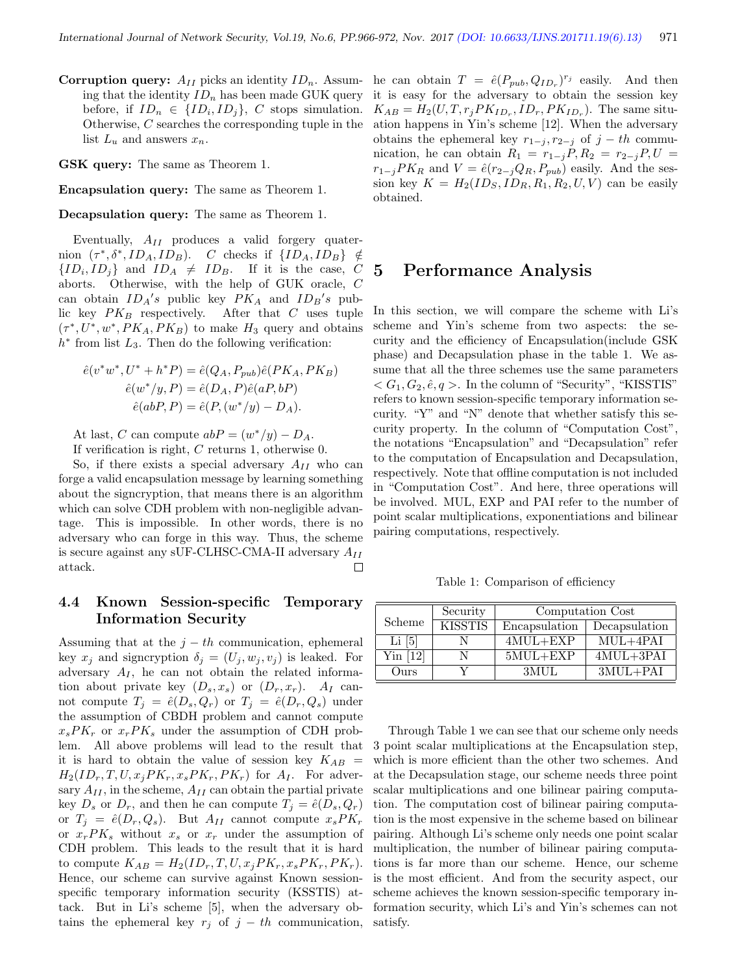**Corruption query:**  $A_{II}$  picks an identity  $ID_n$ . Assuming that the identity  $ID_n$  has been made GUK query before, if  $ID_n \in \{ID_i, ID_j\}$ , C stops simulation. Otherwise, C searches the corresponding tuple in the list  $L_u$  and answers  $x_n$ .

GSK query: The same as Theorem 1.

Encapsulation query: The same as Theorem 1.

Decapsulation query: The same as Theorem 1.

Eventually,  $A_{II}$  produces a valid forgery quaternion  $(\tau^*, \delta^*, ID_A, ID_B)$ . C checks if  $\{ID_A, ID_B\} \notin$  $\{ID_i, ID_j\}$  and  $ID_A \neq ID_B$ . If it is the case, C aborts. Otherwise, with the help of GUK oracle, C can obtain  $ID_A's$  public key  $PK_A$  and  $ID_B's$  public key  $PK_B$  respectively. After that C uses tuple  $(\tau^*, U^*, w^*, PK_A, PK_B)$  to make  $H_3$  query and obtains  $h^*$  from list  $L_3$ . Then do the following verification:

$$
\hat{e}(v^*w^*, U^* + h^*P) = \hat{e}(Q_A, P_{pub})\hat{e}(PK_A, PK_B)
$$

$$
\hat{e}(w^*/y, P) = \hat{e}(D_A, P)\hat{e}(aP, bP)
$$

$$
\hat{e}(abP, P) = \hat{e}(P, (w^*/y) - D_A).
$$

At last, C can compute  $abP = (w^*/y) - D_A$ .

If verification is right, C returns 1, otherwise 0.

So, if there exists a special adversary  $A_{II}$  who can forge a valid encapsulation message by learning something about the signcryption, that means there is an algorithm which can solve CDH problem with non-negligible advantage. This is impossible. In other words, there is no adversary who can forge in this way. Thus, the scheme is secure against any sUF-CLHSC-CMA-II adversary  $A_{II}$ attack.  $\Box$ 

#### 4.4 Known Session-specific Temporary Information Security

Assuming that at the  $j - th$  communication, ephemeral key  $x_i$  and signcryption  $\delta_i = (U_i, w_i, v_i)$  is leaked. For adversary  $A_I$ , he can not obtain the related information about private key  $(D_s, x_s)$  or  $(D_r, x_r)$ .  $A_I$  cannot compute  $T_j = \hat{e}(D_s, Q_r)$  or  $T_j = \hat{e}(D_r, Q_s)$  under the assumption of CBDH problem and cannot compute  $x_s P K_r$  or  $x_r P K_s$  under the assumption of CDH problem. All above problems will lead to the result that it is hard to obtain the value of session key  $K_{AB}$  =  $H_2(ID_r, T, U, x_j P K_r, x_s P K_r, P K_r)$  for  $A_I$ . For adversary  $A_{II}$ , in the scheme,  $A_{II}$  can obtain the partial private key  $D_s$  or  $D_r$ , and then he can compute  $T_j = \hat{e}(D_s, Q_r)$ or  $T_i = \hat{e}(D_r, Q_s)$ . But  $A_{II}$  cannot compute  $x_s P K_r$ or  $x_r P K_s$  without  $x_s$  or  $x_r$  under the assumption of CDH problem. This leads to the result that it is hard to compute  $K_{AB} = H_2(ID_r, T, U, x_j P K_r, x_s P K_r, P K_r).$ Hence, our scheme can survive against Known sessionspecific temporary information security (KSSTIS) attack. But in Li's scheme [5], when the adversary obtains the ephemeral key  $r_j$  of  $j - th$  communication,

he can obtain  $T = \hat{e}(P_{pub}, Q_{ID_r})^{r_j}$  easily. And then it is easy for the adversary to obtain the session key  $K_{AB} = H_2(U, T, r_j P K_{ID_r}, ID_r, PK_{ID_r}).$  The same situation happens in Yin's scheme [12]. When the adversary obtains the ephemeral key  $r_{1-j}, r_{2-j}$  of  $j-th$  communication, he can obtain  $R_1 = r_{1-j}P, R_2 = r_{2-j}P, U =$  $r_{1-j}PK_R$  and  $V = \hat{e}(r_{2-j}Q_R, P_{pub})$  easily. And the session key  $K = H_2(ID_S, ID_R, R_1, R_2, U, V)$  can be easily obtained.

## 5 Performance Analysis

In this section, we will compare the scheme with Li's scheme and Yin's scheme from two aspects: the security and the efficiency of Encapsulation(include GSK phase) and Decapsulation phase in the table 1. We assume that all the three schemes use the same parameters  $<$   $G_1$ ,  $G_2$ ,  $\hat{e}$ ,  $q$  >. In the column of "Security", "KISSTIS" refers to known session-specific temporary information security. "Y" and "N" denote that whether satisfy this security property. In the column of "Computation Cost", the notations "Encapsulation" and "Decapsulation" refer to the computation of Encapsulation and Decapsulation, respectively. Note that offline computation is not included in "Computation Cost". And here, three operations will be involved. MUL, EXP and PAI refer to the number of point scalar multiplications, exponentiations and bilinear pairing computations, respectively.

Table 1: Comparison of efficiency

|             | Security       | Computation Cost |               |
|-------------|----------------|------------------|---------------|
| Scheme      | <b>KISSTIS</b> | Encapsulation    | Decapsulation |
| Li[5]       |                | $4MUL+EXP$       | $MUL+4PAI$    |
| $Y$ in [12] |                | $5MUL+EXP$       | $4MUL+3PAI$   |
| Ours        |                | 3MUL             | $3MUL + PAI$  |

Through Table 1 we can see that our scheme only needs 3 point scalar multiplications at the Encapsulation step, which is more efficient than the other two schemes. And at the Decapsulation stage, our scheme needs three point scalar multiplications and one bilinear pairing computation. The computation cost of bilinear pairing computation is the most expensive in the scheme based on bilinear pairing. Although Li's scheme only needs one point scalar multiplication, the number of bilinear pairing computations is far more than our scheme. Hence, our scheme is the most efficient. And from the security aspect, our scheme achieves the known session-specific temporary information security, which Li's and Yin's schemes can not satisfy.